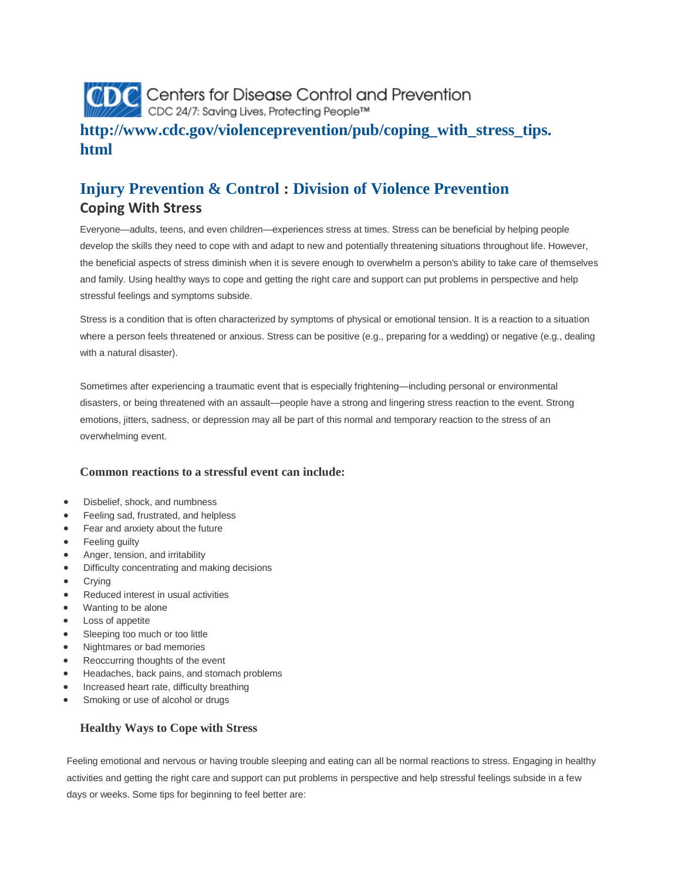# **[http://www.cdc.gov/violenceprevention/pub/coping\\_with\\_stress\\_tips.](http://www.cdc.gov/violenceprevention/pub/coping_with_stress_tips.html) [html](http://www.cdc.gov/violenceprevention/pub/coping_with_stress_tips.html)**

# **[Injury Prevention & Control](http://www.cdc.gov/injury/index.html) : [Division of Violence Prevention](http://www.cdc.gov/violenceprevention/index.html) Coping With Stress**

Everyone—adults, teens, and even children—experiences stress at times. Stress can be beneficial by helping people develop the skills they need to cope with and adapt to new and potentially threatening situations throughout life. However, the beneficial aspects of stress diminish when it is severe enough to overwhelm a person's ability to take care of themselves and family. Using healthy ways to cope and getting the right care and support can put problems in perspective and help stressful feelings and symptoms subside.

Stress is a condition that is often characterized by symptoms of physical or emotional tension. It is a reaction to a situation where a person feels threatened or anxious. Stress can be positive (e.g., preparing for a wedding) or negative (e.g., dealing with a natural disaster).

Sometimes after experiencing a traumatic event that is especially frightening—including personal or environmental disasters, or being threatened with an assault—people have a strong and lingering stress reaction to the event. Strong emotions, jitters, sadness, or depression may all be part of this normal and temporary reaction to the stress of an overwhelming event.

#### **Common reactions to a stressful event can include:**

- Disbelief, shock, and numbness
- Feeling sad, frustrated, and helpless
- Fear and anxiety about the future
- Feeling guilty
- Anger, tension, and irritability
- Difficulty concentrating and making decisions
- Crying
- Reduced interest in usual activities
- Wanting to be alone
- Loss of appetite
- Sleeping too much or too little
- Nightmares or bad memories
- Reoccurring thoughts of the event
- **•** Headaches, back pains, and stomach problems
- Increased heart rate, difficulty breathing
- Smoking or use of alcohol or drugs

#### **Healthy Ways to Cope with Stress**

Feeling emotional and nervous or having trouble sleeping and eating can all be normal reactions to stress. Engaging in healthy activities and getting the right care and support can put problems in perspective and help stressful feelings subside in a few days or weeks. Some tips for beginning to feel better are: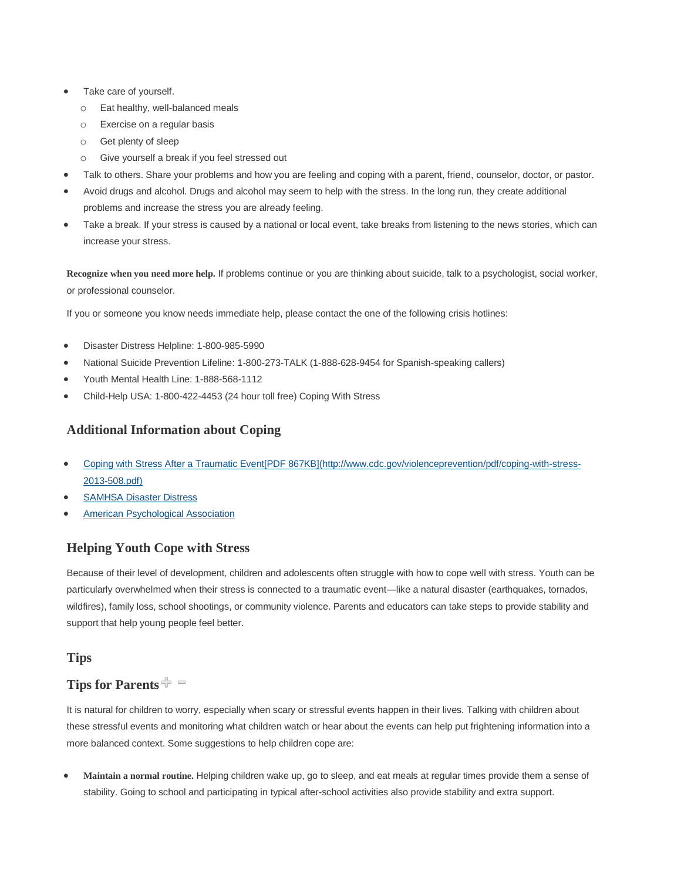- Take care of yourself.
	- o Eat healthy, well-balanced meals
	- o Exercise on a regular basis
	- o Get plenty of sleep
	- o Give yourself a break if you feel stressed out
- Talk to others. Share your problems and how you are feeling and coping with a parent, friend, counselor, doctor, or pastor.
- Avoid drugs and alcohol. Drugs and alcohol may seem to help with the stress. In the long run, they create additional problems and increase the stress you are already feeling.
- Take a break. If your stress is caused by a national or local event, take breaks from listening to the news stories, which can increase your stress.

**Recognize when you need more help.** If problems continue or you are thinking about suicide, talk to a psychologist, social worker, or professional counselor.

If you or someone you know needs immediate help, please contact the one of the following crisis hotlines:

- Disaster Distress Helpline: 1-800-985-5990
- National Suicide Prevention Lifeline: 1-800-273-TALK (1-888-628-9454 for Spanish-speaking callers)
- Youth Mental Health Line: 1-888-568-1112
- Child-Help USA: 1-800-422-4453 (24 hour toll free) Coping With Stress

# **Additional Information about Coping**

- [Coping with Stress After a Traumatic Event\[PDF 867KB\]\(http://www.cdc.gov/violenceprevention/pdf/coping-with-stress-](http://www.cdc.gov/violenceprevention/pdf/coping-with-stress-2013-508.pdf)[2013-508.pdf\)](http://www.cdc.gov/violenceprevention/pdf/coping-with-stress-2013-508.pdf)
- [SAMHSA Disaster Distress](http://www.disasterdistress.samhsa.gov/)
- [American Psychological Association](http://www.apa.org/helpcenter/disaster)

# **Helping Youth Cope with Stress**

Because of their level of development, children and adolescents often struggle with how to cope well with stress. Youth can be particularly overwhelmed when their stress is connected to a traumatic event—like a natural disaster (earthquakes, tornados, wildfires), family loss, school shootings, or community violence. Parents and educators can take steps to provide stability and support that help young people feel better.

#### **Tips**

# **Tips for Parents**

It is natural for children to worry, especially when scary or stressful events happen in their lives. Talking with children about these stressful events and monitoring what children watch or hear about the events can help put frightening information into a more balanced context. Some suggestions to help children cope are:

 **Maintain a normal routine.** Helping children wake up, go to sleep, and eat meals at regular times provide them a sense of stability. Going to school and participating in typical after-school activities also provide stability and extra support.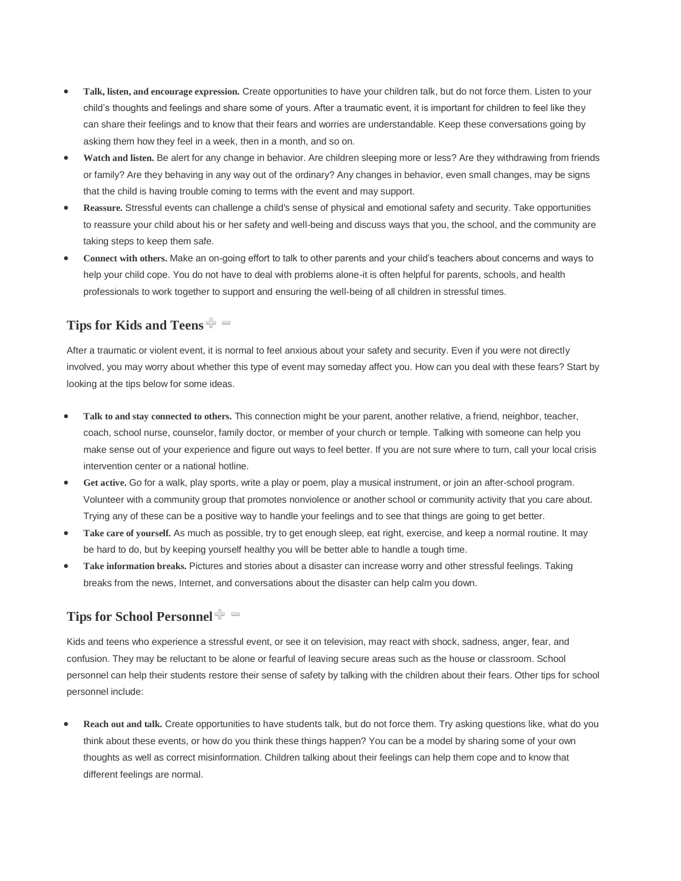- **Talk, listen, and encourage expression.** Create opportunities to have your children talk, but do not force them. Listen to your child's thoughts and feelings and share some of yours. After a traumatic event, it is important for children to feel like they can share their feelings and to know that their fears and worries are understandable. Keep these conversations going by asking them how they feel in a week, then in a month, and so on.
- **Watch and listen.** Be alert for any change in behavior. Are children sleeping more or less? Are they withdrawing from friends or family? Are they behaving in any way out of the ordinary? Any changes in behavior, even small changes, may be signs that the child is having trouble coming to terms with the event and may support.
- **Reassure.** Stressful events can challenge a child's sense of physical and emotional safety and security. Take opportunities to reassure your child about his or her safety and well-being and discuss ways that you, the school, and the community are taking steps to keep them safe.
- **Connect with others.** Make an on-going effort to talk to other parents and your child's teachers about concerns and ways to help your child cope. You do not have to deal with problems alone-it is often helpful for parents, schools, and health professionals to work together to support and ensuring the well-being of all children in stressful times.

# **Tips for Kids and Teens**

After a traumatic or violent event, it is normal to feel anxious about your safety and security. Even if you were not directly involved, you may worry about whether this type of event may someday affect you. How can you deal with these fears? Start by looking at the tips below for some ideas.

- **Talk to and stay connected to others.** This connection might be your parent, another relative, a friend, neighbor, teacher, coach, school nurse, counselor, family doctor, or member of your church or temple. Talking with someone can help you make sense out of your experience and figure out ways to feel better. If you are not sure where to turn, call your local crisis intervention center or a national hotline.
- **Get active.** Go for a walk, play sports, write a play or poem, play a musical instrument, or join an after-school program. Volunteer with a community group that promotes nonviolence or another school or community activity that you care about. Trying any of these can be a positive way to handle your feelings and to see that things are going to get better.
- **Take care of yourself.** As much as possible, try to get enough sleep, eat right, exercise, and keep a normal routine. It may be hard to do, but by keeping yourself healthy you will be better able to handle a tough time.
- **Take information breaks.** Pictures and stories about a disaster can increase worry and other stressful feelings. Taking breaks from the news, Internet, and conversations about the disaster can help calm you down.

# **Tips for School Personnel**

Kids and teens who experience a stressful event, or see it on television, may react with shock, sadness, anger, fear, and confusion. They may be reluctant to be alone or fearful of leaving secure areas such as the house or classroom. School personnel can help their students restore their sense of safety by talking with the children about their fears. Other tips for school personnel include:

 **Reach out and talk.** Create opportunities to have students talk, but do not force them. Try asking questions like, what do you think about these events, or how do you think these things happen? You can be a model by sharing some of your own thoughts as well as correct misinformation. Children talking about their feelings can help them cope and to know that different feelings are normal.